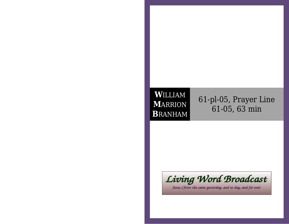## **W**ILLIAM **M**ARRION**B**RANHAM

61-pl-05, Prayer Line61-05, 63 min



Jesus Christ the same yesterday, and to day, and for ever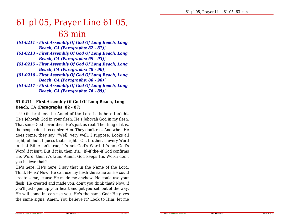# 61-pl-05, Prayer Line 61-05,63 min

- *[61-0211 First Assembly Of God Of Long Beach, LongBeach, CA (Paragraphs: 82 - 87)]*
- *[61-0213 First Assembly Of God Of Long Beach, LongBeach, CA (Paragraphs: 69 - 93)]*
- *[61-0215 First Assembly Of God Of Long Beach, LongBeach, CA (Paragraphs: 78 - 90)]*
- *[61-0216 First Assembly Of God Of Long Beach, LongBeach, CA (Paragraphs: 86 - 96)]*
- *[61-0217 First Assembly Of God Of Long Beach, LongBeach, CA (Paragraphs: 76 - 85)]*

#### **61-0211 - First Assembly Of God Of Long Beach, LongBeach, CA (Paragraphs: 82 - 87)**

L-83 Oh, brother, the Angel of the Lord is--is here tonight.He's Jehovah God in your flesh. He's Jehovah God in my flesh. That same God never dies. He's just as real. The thing of it is,the people don't recognize Him. They don't re... And when He does come, they say, "Well, very well, I suppose. Looks allright, uh-huh. I guess that's right." Oh, brother, if every Word in that Bible isn't true, it's not God's Word. It's not God's Word if it isn't. But if it is, then it's... If--if the--if God confirms His Word, then it's true. Amen. God keeps His Word; don'tyou believe that?

 He's here. He's here. I say that in the Name of the Lord. Think He is? Now, He can use my flesh the same as He could create some, 'cause He made me anyhow. He could use your flesh; He created and made you, don't you think that? Now, if you'll just open up your heart and get yourself out of the way,He will come in, can use you. He's the same God; He givesthe same signs. Amen. You believe it? Look to Him; let me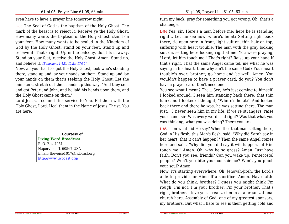even have to have a prayer line tomorrow night.

L-85 The Seal of God is the baptism of the Holy Ghost. The mark of the beast is to reject It. Receive ye the Holy Ghost.How many wants the baptism of the Holy Ghost, stand on your feet. How many wants to be sealed in the Kingdom of God by the Holy Ghost, stand on your feet. Stand up and receive it. That's right. Up in the balcony, don't turn away. Stand on your feet; receive the Holy Ghost. Amen. Stand up,and believe it. *[Ephesians 1:13]*, *[Luke 17:30]*

 Now, all you that has got the Holy Ghost, look who's standing there, stand up and lay your hands on them. Stand up and lay your hands on them that's seeking the Holy Ghost. Let the ministers, stretch out their hands up this way. "And they sent and got Peter and John, and he laid his hands upon them, andthe Holy Ghost came on them."

 Lord Jesus, I commit this service to You. Fill them with the Holy Ghost, Lord. Heal them in the Name of Jesus Christ. Youare here.

**Courtesy of**

**Living Word Broadcast**P. O. Box 4951 Naperville, IL 60567 USA Email: thevoice1017@lwbcast.orghttp://www.lwbcast.org/

turn my back, pray for something you got wrong. Oh, that's achallenge.

L-84 Yes, sir. Here's a man before me; here he is standing right... Let me see now, where's he at? Setting right back there, tie open here in front, light suit on, thin hair on top,suffering with heart trouble. The man with the gray looking suit on, setting here looking right at me. You were praying, "Lord, let him touch me." That's right? Raise up your hand if that's right. That the same Angel came tell me what he was saying in his heart, then why ain't the same God? Your heart trouble's over, brother; go home and be well. Amen. You wouldn't happen to have a prayer card, do you? You don'thave a prayer card. Don't need one.

 You see what I mean? The... See, he's just coming to himself.I looked around; I seen him standing back there, that thin hair; and I looked; I thought, "Where's he at?" And looked back there and there he was; he was setting there. The man just... I never seen him in my life. If we're strangers, raise your hand, sir. Was every word said right? Was that what youwas thinking, what you was doing? There you are.

L-85 Then what did He say? When the--that man setting there,God in His flesh, this Man's flesh, said, "Why did Sarah say in her heart, that it can't happen?" Then the same Angel comes here and said, "Why did--you did say it will happen, let Him touch me." Amen. Oh, why be so gross? Amen. Just have faith. Don't you see, friends? Can you wake up, Pentecostalpeople? Won't you bite your conscience? Won't you pinchyour soul? Amen.

 Now, it's starting everywhere. Oh, Jehovah-jireh, the Lord's able to provide for Himself a sacrifice. Amen. Have faith.What do you think, brother? I guess you might think I'm rough. I'm not. I'm your brother. I'm your brother. That's right, brother. I love you. I realize I'm in a--a organizational church here, Assembly of God, one of my greatest sponsors,my brothers. But what I hate to see is them getting cold and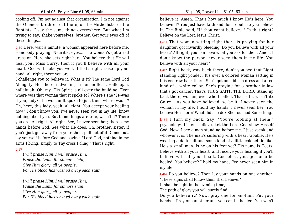cooling off. I'm not against that organization. I'm not against the Oneness brethren out there, or the Methodists, or the Baptists, I say the same thing everywhere. But what I'm trying to say, shake yourselves, brother. Get your eyes off ofthese things...

L-86 Here, wait a minute, a woman appeared here before me,somebody praying: Neuritis, eyes... The woman's got a red dress on. Here she sets right here. You believe that He willheal you? Miss Curry, then if you'll believe with all your heart, God will make you well. If that's right, raise up yourhand. All right, there you are.

 I challenge you to believe it. What is it? The same Lord God Almighty. He's here, indwelling in human flesh. Hallelujah, hallelujah. Oh, my. His Spirit is all over the building. Ever where was that woman that It spoke to? Where's she? Is--was it you, lady? The woman It spoke to just then, where was it? Oh, here, this lady, yeah. All right. You accept your healing now? I don't know you. I've never seen you in my life, know nothing about you. But them things are true, wasn't it? There you are. All right. All right. See, I never seen her; there's my hands before God. See what He does. Oh, brother, sister, if you'd just get away from your shell, pull out of it. Come out, lay yourself before God and saying, "Lord God, nothing in myarms I bring, simply to Thy cross I cling." That's right.

#### L-87

*I will praise Him, I will praise Him,Praise the Lamb for sinners slain;Give Him glory, all ye people,For His blood has washed away each stain.*

*I will praise Him, I will praise Him,Praise the Lamb for sinners slain;Give Him glory, all ye people,For His blood has washed away each stain.* believe it. Amen. That's how much I know He's here. You believe it? You just have faith and don't doubt it; you believe it. The Bible said, "If thou canst believe..." Is that right?Believe on the Lord Jesus Christ.

L-81 That woman setting right there is praying for her daughter, got inwardly bleeding. Do you believe with all your heart? All right, you can have what you ask for then. Amen. I don't know the person, never seen them in my life. Youbelieve with all your heart?

L-82 Right back, way back there, don't you see that Light standing right yonder? It's over a colored woman setting in this end row back there. She's got on a bluish dress and a red kind of a white collar. She's praying for a brother-in-law that's got cancer. That's THUS SAITH THE LORD. Stand up back there, woman, ever who I called. That is true, isn't it? Go re... As you have believed, so be it. I never seen the woman in my life. I hold my hands; I never seen her. Youbelieve He's here? What did she do? She touched Something.

L-83<sup>I</sup> turn my back. Say, "You're looking at them," psychology. Listen, believe. Let the Lord God show Hisself God. Now, I see a man standing before me. I just speak and whoever it is. The man's suffering with a heart trouble. He's wearing a dark suit and some kind of a little colonel tie like.He's a small man. Is he on his feet yet? His name is Coats. Believe with all your heart, and receive your healing if you'llbelieve with all your heart. God bless you, go home be healed. You believe? I hold my hand; I've never seen him inmy life.

L-84 Do you believe? Then lay your hands on one another."These signs shall follow them that believe."

It shall be light in the evening time,

Courtesy of Living Word Broadcast

The path of glory you will surely find.

Do you believe it? Now, pray one for another. Put yourhands... Pray one another and you can be healed. You won't

Page 3 of 30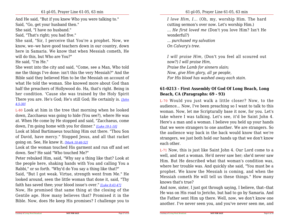And He said, "But if you knew Who you were talking to."Said, "Go, get your husband then."

She said, "I have no husband."

Said, "That's right; you had five."

 She said, "Sir, I perceive that You're a prophet. Now, we know, we--we have good teachers down in our country, down here in Samaria. We know that when Messiah cometh, Hewill do this, but Who are You?"

He said, "I'm He."

 She went into the city and said, "Come, see a Man, Who told me the things I've done: isn't this the very Messiah?" And the Bible said they believed Him to be the Messiah on account of what He told the woman. She knowed more about God than half the preachers of Hollywood do. Ha, that's right. Being in her condition. 'Cause she was trained by the Holy Spirit There you are. He's God; He's still God; He certainly is. *[John4:5-30]*

L-80 Look at him in the tree that morning when he looked down, Zacchaeus was going to hide (You see?), where He was at. When He come by He stopped and said, "Zacchaeus, comedown, I'm going home with you for dinner." *[Luke 19:1-10]*

Look at blind Bartimaeus touching Him out there. "Thou Son of David, have mercy." Stopped Jesus, and all that racketgoing on. See, He knew it. *[Mark 10:46-52]*

Look at the woman touched His garment and run off and setdown. See? He said "Who touched Me?"

 Peter rebuked Him, said, "Why say a thing like that? Look at the people here, shaking hands with You and calling You aRabbi," or so forth. "Why'd do You say a thing like that?"

 Said, "But I got weak. Virtue, strength went from Me." He looked around, seen the little woman that done it, said, "Thyfaith has saved thee; your blood issue's over." *[Luke 8:43-47]*

Now, He promised that same thing at the closing of the Gentile age. How many believes that? Promised it in theBible. Now, does He keep His promises? I challenge you to

*I love Him, I...* (Oh, my, worship Him. The hardcutting sermon's over now. Let's worship Him.) *... He first loved me* (Don't you love Him? Isn't Hewonderful?) *... purchased my salvationOn Calvary's tree.*

*I will praise Him,* (Don't you feel all scoured outnow?) *I will praise Him,Praise the Lamb for sinners slain;Now, give Him glory, all ye people,For His blood has washed away each stain.*

## **61-0213 - First Assembly Of God Of Long Beach, LongBeach, CA (Paragraphs: 69 - 93)**

L-70 Would you just walk a little closer? Now, to the audience... Now, I've been preaching so I want to talk to this woman. Now, let me Scripturally base it now, for you. Let's take where I was talking. Let's see, it'd be Saint John 4. Here's a man and a woman. I believe you held up your hands that we were strangers to one another. We are strangers. So the audience way back in the back would know that we're strangers, we just both hold our hands up that we don't knoweach other.

L-71 Now, this is just like Saint John 4. Our Lord come to a well, and met a woman. He'd never saw her; she'd never saw Him. But He described what that woman's condition was,where her trouble was. And quickly she said, "You must be a prophet. We know the Messiah is coming, and when the Messiah cometh He will tell us these things." How manyknows that's true?

 And now, sister, I just got through saying, I believe, that--that He was on His road to Jericho, but had to go by Samaria. And the Father sent Him up there. Well, now, we don't know oneanother. I've never seen you, and you've never seen me, and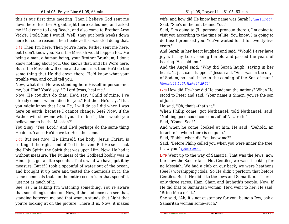this is our first time meeting. Then I believe God sent me down here. Brother Arganbright there called me, and asked me if I'd come to Long Beach, and also come to Brother Arny Vick's. I told him I would. Well, they put both weeks downhere for some reason. Then I believe that was God doing that.

L-72 Then I'm here. Then you're here. Father sent me here, but I don't know you. So if the Messiah would happen to... Me being a man, a human being, your Brother Branham, I don't know nothing about you. God knows that, and His Word here. But if the Messiah will come and anoint me, then He'd do the same thing that He did down there. He'd know what yourtrouble was, and could tell you.

Now, what if--if He was standing here Hisself in person--notme, but Him? You'd say, "O Lord Jesus, heal me."

 Now, He couldn't do that. He'd say, "Child of mine, I've already done it when I died for you." But then He'd say, "That you might know that I am He, I will do as I did when I was here on earth, because I cannot change. See? Now, if the Father will show me what your trouble is, then would youbelieve me to be the Messiah?"

 You'd say, "Yea, Lord." And He'd perhaps do the same thingHe done, 'cause He'd have to--He's the same.

L-73 But see now, He Himself, the body, Jesus Christ, is setting at the right hand of God in heaven. But He sent back the Holy Spirit, the Spirit that was upon Him. Now, He had it without measure. The Fullness of the Godhead bodily was in Him. I just got a little spoonful. That's what we have, got it by measure. But if I took a spoonful of water out of the ocean,and brought it up here and tested the chemicals in it, the same chemicals that's in the entire ocean is in that spoonful,just not as much of it.

 See, as I'm talking I'm watching something. You're aware that something's going on. Now, if the audience can see that, standing between me and that woman stands that Light thatyou're looking at on the picture. There It is. Now, it makes wife, and how did He know her name was Sarah? *[John 10:1-16]*Said, "She's in the tent behind You."

 Said, "I'm going to ('I,' personal pronoun there.), I'm going to visit you according to the time of life. You know, I'm going to do this; I promised you. You've waited for it for twenty-fiveyears."

 And Sarah in her heart laughed and said, "Would I ever have joy with my Lord, seeing I'm old and passed the years ofbearing. He's old too."

 And the Angel said, "Why did Sarah laugh, saying in her heart, 'It just can't happen.'" Jesus said, "As it was in the daysof Sodom, so shall it be in the coming of the Son of man."

#### *[Genesis 18:1-15]*, *[Luke 17:29-30]*

L-78 How did He--how did He condemn the nations? When He stood to Peter and said, "Your name is Simon; you're the sonof Jonas."

He said, "Oh, that's--that's it."

 When Philip come, got Nathanael, told Nathanael, said,"Nothing good could come out of--of Nazareth."

Said, "Come. See?"

Courtesy of Living Word Broadcast

 And when he come, looked at him, He said, "Behold, anIsraelite in whom there is no guile."

Said, "Rabbi, when did You know me?"

 Said, "Before Philip called you when you were under the tree,I saw you." *[John 1:40-50]*

L-79 Went up to the way of Samaria. That was the Jews, now the--now the Samaritans. Not Gentiles, we wasn't looking for no Messiah. We had a club on our back; we were heathens (See?) worshipping idols. So He didn't perform that before Gentiles. But if He did it to the Jews and Samaritan... There's only three races: Ham, Sham and Japheth's people. Now, if He did that to Samaritan woman, He'd went to her; He said,"Bring Me a drink."

 She said, "Ah, it's not customary for you, being a Jew, ask aSamaritan woman some--such."

**NOT FOR SALE**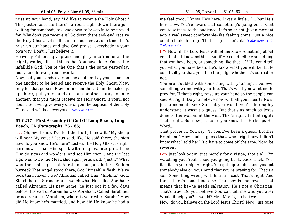raise up your hand, say, "I'd like to receive the Holy Ghost." The pastor tells me there's a room right down there just waiting for somebody to come down to be--go in to be prayed for. Why don't you receive it? Go down there and--and receive the Holy Ghost. Let's all stand on our feet at one time. Let's raise up our hands and give God praise, everybody in yourown way. Don't... Just believe it.

Heavenly Father, I give praise and glory unto You for all the mighty works, all the things that You have done. You're the infallible God. You're the One that's the same yesterday,today, and forever, You never fail.

 Now, put your hands over on one another. Lay your hands on one another to be healed and receive the Holy Ghost. Now, pray for that person. Pray for one another. Up in the balcony,up there, put your hands on one another; pray for one another, that you might receive the Holy Ghost. If you'll not doubt, God will give every one of you the baptism of the HolyGhost and will heal everyone. *[Hebrews 13:8]*

## **61-0217 - First Assembly Of God Of Long Beach, LongBeach, CA (Paragraphs: 76 - 85)**

L-77 Oh, my. I know I've told the truth; I know it. "My sheep will hear My voice." Jesus said, like He said there, the sign how do you know He's here? Listen, the Holy Ghost is right here now. I hear Him speak with tongues, interpret. I see Him do signs and wonders. And see Him even... And the last sign was to be the Messiahic sign. Jesus said, "Just..." What was the last sign that Abraham had just before Sodom burned? That Angel stood there, God Himself in flesh. We've took that, haven't we? Abraham called Him, "Elohim," God. Stood there a Stranger, and watch what He called Abraham:called Abraham his new name; he just got it a few days before. Instead of Abram he was Abraham. Called Sarah her princess name. "Abraham, where is your wife, Sarah?" Howdid He know he's married, and how did He know he had a

me feel good, I know He's here. I was a little...?... but He's here now. You're aware that something's going on. I want you to witness to the audience if it's so or not. Just a moment ago a real sweet comfortable-like feeling come, just a nice comfortable feeling. That's right, isn't it? *[Colossians 3:1]*, *[Colossians 2:9]*

L-74 Now, if the Lord Jesus will let me know something about you, that... I know nothing. But if He could tell me something that you have been, or something like that... If He could tellyou what you have been, He'd know what you will be. If He could tell you that, you'd be the judge whether it's correct ornot.

 You are troubled with something with your hip, I believe,something wrong with your hip. That's what you want me to pray for. If that's right, raise up your hand so the people can see. All right. Do you believe now with all your heart? Now,just a moment. See? So that you won't--you'll thoroughly understand it wasn't a guess. But that's as much as Jesus done to the woman at the well. That's right. Is that right? That's right. But now just to let you know that He keeps HisWord...

 That proves it. You say, "It could've been a guess, Brother Branham." How could I guess that, when right now I didn't know what I told her? It'd have to come off the tape. Now, bereverent.

L-75 Just look again, just merely for a vision, that's all. I'm watching you. Yeah, I see you going back, back, back, Yes, it's--it's in your hip. All right. You got hip trouble, and you got somebody else on your mind that you're praying for. That's a son. Something wrong with him in a cast. That's right. And then, there's something else. That boy is shadowed. That means that he--he needs salvation. He's not a Christian. That's true. Do you believe God can tell me who you are?Would it help you? It would? Mrs. Morris, go believe.

Now, do you believe on the Lord Jesus Christ? Now, just raise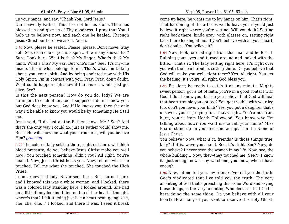up your hands, and say, "Thank You, Lord Jesus."

 Our heavenly Father, Thou has not left us alone. Thou has blessed us and give us of Thy goodness. I pray that You'llhelp us to believe now, and each one be healed. ThroughJesus Christ our Lord, we ask it. Amen.

L-76 Now, please be seated. Please, please. Don't move. Stay still. See, each one of you is a spirit. How many knows that? Sure. Look here. What is this? My finger. What's this? My hand. What's this? My ear. But who's me? See? It's my--me inside. This is what belongs to me. That's what I'm talking about: you, your spirit. And by being anointed now with His Holy Spirit, I'm in contact with you. Pray. Pray; don't doubt.What could happen right now if the church would just getalive. See?

 Is this the next person? How do you do, lady? We are strangers to each other, too, I suppose. I do not know you, but God does know you. And if He knows you, then the only way I'd be able to know you would be by something He'd tellme.

Jesus said, "I do just as the Father shows Me." See? And that's the only way I could do, just as Father would show me.But if He will show me what your trouble is, will you believeHim? *[John 5:19]*

L-77 The colored lady setting there, right out here, with high blood pressure, do you believe Jesus Christ make you well now? You touched something, didn't you? All right. You're healed. Now, Jesus Christ heals you. Now, tell me what she touched. Tell me what she touched. She touched the HighPriest.

I don't know that lady. Never seen her... But I turned here,and I knowed this was a white woman; and I looked; there was a colored lady standing here. I looked around. She had on a little funny-looking thing on top of her head. I thought, where's that? I felt it going just like a heart beat, going "che,che, che, che..." I looked, and there it was. I seen it break come up here; he wants me to lay hands on him. That's right.That hardening of the arteries would leave you if you'd just believe it right where you're setting. Will you do it? Setting right back there, kinda gray, with glasses on, setting right back there looking at me. If you'll believe with all your heart,don't doubt... You believe it?

L-94 Now, look, circled right from that man and he lost it. Rubbing your eyes and turned around and looked with the little... That's it. The lady setting right here, It's right over you with the heart trouble, setting there. Do you believe that God will make you well, right there? Yes. All right. You getthe healing; it's yours. All right. God bless you.

L-95 Be alert; be ready to catch it at any minute. Mighty sweet person, got a lot of faith, you're in a good contact with God. I don't know you, but do you believe that God will heal that heart trouble you got too? You got trouble with your leg too, don't you have, your limb? Yes, you got a daughter that's unsaved, you're praying for. That's right. You're not from here; you're from North Hollywood. You know who I'm talking about now? You want me to call your name? Miss Beard, stand up on your feet and accept it in the Name ofJesus Christ.

 You believe? Now, what is it, friends? Is those things true,lady? If it is, wave your hand. See, it's right. See? Now, do you believe? I never seen the woman in my life. Now, see, the whole building... Now, they--they touched me (See?); I know it's just enough now. They watch me, you know, when I haveenough.

L-96 Now, let me tell you, my friend; I've told you the truth. God's vindicated that I've told you the truth. The very anointing of God that's preaching this same Word and saying these things, is the very anointing Who declares that God is here doing the same thing. Do you believe with all yourheart? How many of you want to receive the Holy Ghost,

Page 7 of 30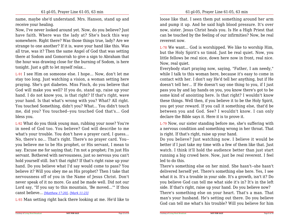name, maybe she'd understand. Mrs. Hanson, stand up andreceive your healing.

 Now, I've never looked around yet. Now, do you believe? Just have faith. Where was the lady at? She's back this way somewhere. Right there? Was those things true, lady? Are we strange to one another? If it is, wave your hand like this. Was all true, was it? Then the same Angel of God that was setting there at Sodom and Gomorrah to give a sign to Abraham that the hour was drawing close for the burning of Sodom, is heretonight. Just a gift to let myself relax...

L-91 I see Him on someone else. I hope... Now, don't let me stay too long. Just watching a vision, a woman setting here praying. She's got diabetes. Miss Finch, do you believe that God will make you well? If you do, stand up, raise up your hand. I do not know you, is that right? If that's right, wave your hand. Is that what's wrong with you? What? All right. You touched Something, didn't you? What... You didn't touch me, did you? You touched--you touched God that's... Godbless you.

L-92 What do you think young man, rubbing your nose? You're in need of God too. You believe? God will describe to me what's your trouble. You don't have a prayer card, I guess... No, there's no... That's right. There's no prayer card. You-you believe me to be His prophet, or His servant, I mean to say. Excuse me for saying that; I'm not a prophet; I'm just His servant. Bothered with nervousness, just so nervous you can't hold yourself still. Isn't that right? If that's right raise up your hand. Do you believe what I'd say would come to pass? You believe it? Will you obey me as His prophet? Then I take that nervousness off of you in the Name of Jesus Christ. Don't never speak of it no more. Go and be made well. Did not our Lord say, "If you say to this mountain, 'Be moved...'" If thoucanst believe... *[Matthew 17:20]*, *[Mark 11:23]*

L-93 Man setting right back there looking at me. He'd like to

loose like that. I seen them put something around her arm and pump it up. And he said high blood pressure. It's over now, sister. Jesus Christ heals you. Is He a High Priest that can be touched by the feeling of our infirmities? Now, be realreverent now.

L-78 We want... God is worshipped. We like to worship Him,but the Holy Spirit's so timid. Just be real quiet. Now, you little fellows be real nice, down here now in front, real nice.Now, real quiet.

 Everybody start praying now, saying, "Father, I am needy," while I talk to this woman here, because it's easy to come in contact with her. I don't say He'd tell her anything, but if He doesn't tell her... If He doesn't say one thing to you, if I just pass you by and lay hands on you, you know there's got to be some kind of anointing here. Is that right? I wouldn't know these things. Well then, if you believe it to be the Holy Spirit, you get your reward. If you call it something else, that'd be between you and God. See? I wouldn't know. I can onlydeclare the Bible says it. Here it is to prove it.

L-79 Now, our sister standing before me, she's suffering with a nervous condition and something wrong in her throat. Thatis right. If that's right, raise up your hand.

 Do you believe? Just watching now. I believe it would be better if I just take my time with a few of them like that. Just watch. I think it'll hold the audience better than just start running a big crowd here. Now, just be real reverent. I feelled to do this.

 There's something else on her mind. She hasn't--she hasn't delivered herself yet. There's something else here. Yes, I see what it is. It's a trouble in your side. It's a growth, isn't it? Do you believe God can tell me what side it's in? It's in the leftside. If that's right, raise up your hand. Do you believe now? There's something else on your heart. That's a man. That man's your husband. He's setting out there. Do you believeGod can tell me what's his trouble? Will you believe for him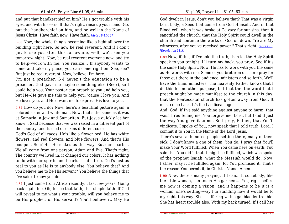and put that handkerchief on him? He's got trouble with his eyes, and with his ears. If that's right, raise up your hand. Go, put the handkerchief on him, and be well in the Name ofJesus Christ. Have faith now. Have faith. *[Acts 19:11-12]*

L-80 Now, the whole thing's becoming like a light all over the building right here. So now be real reverent. And if I don't get to see you after this for awhile, well, we'll see you tomorrow night. Now, be real reverent everyone now, and try to help--work with me. You realize... If anybody wants to come and take my place, you can come right on. See, see?But just be real reverent. Now, believe. I'm here...

 I'm not a preacher. I--I haven't the education to be a preacher. God gave me maybe something else (See?), so I could help you. Your pastor can preach to you and help you,but He--He gave me this to help you, 'cause I love you. AndHe loves you, and He'd want me to express His love to you.

L-81 How do you do? Now, here's a beautiful picture again, a colored sister and white man. Now, that's the same as it was at Samaria: a Jew and Samaritan. But Jesus quickly let her know... Said because that we was raised in a different part ofthe country, and turned our skins different color...

God's God of all races. He's like a flower bed. He has white flowers, and red flowers, and blue flowers. And that's His bouquet. See? He--He makes us this way. But our hearts... We all come from one person, Adam and Eve. That's right. The country we lived in, it changed our colors. It has nothing to do with our spirits and hearts. That's true. God's just as real to you as He is to anybody else. You believe that? And you believe me to be His servant? You believe the things thatI've said? I know you do.

L-82 I just come from Africa recently... last few years. Going back again too. Oh, to see that faith, that simple faith. If God will reveal to me what's your trouble, will you believe me tobe His prophet, or His servant? You'll believe it. May He

God dwelt in Jesus, don't you believe that? That was a virgin born body, a Seed that come from God Himself. And in that Blood cell, when it was broke at Calvary for our sins, then it sanctified the church, that the Holy Spirit could dwell in the church and continue the works of God on down. "Ye are My witnesses, after you've received power." That's right. *[Acts 1:8]*,*[Revelation 11:3]*

L-89 Now, if this, if I've told the truth, then let the Holy Spirit speak to you tonight. I'll turn my back; you pray. See if it's the same Holy Spirit. Now, He has to work with you the same as He works with me. Some of you brethren out here pray for those out there in the audience, ministers and so forth. We'll have the time, ministers. The heavenly Father knows that I do this for no other purpose, but that the--the word that I preach might be made manifest to the church in this day,that the Pentecostal church has gotten away from God. Itmust come back. It's the Laodicean age.

 And, God, if I've said anything against anyone to harm, that wasn't You telling me, You forgive me, Lord, but I did it just the way You gave it to me. So I pray, Father, that You'llvindicate. I spoke of You; now speak that I told truth, Lord. Icommit it to You in the Name of the Lord Jesus.

There's several hundred people setting there, many of them sick. I don't know a one of them, You do. I pray that You'llmake Your Word fulfilled. When You came here on earth, You said that You did it that it might be fulfilled, which was spoke of the prophet Isaiah, what the Messiah would do. Now,Father, may it be fulfilled again, for You promised it. That'sthe reason You permit it, in Christ's Name. Amen.

L-90 Now, there's many praying. If I can... If somebody, like the little woman, can touch His garment... Yes, right before me now is coming a vision, and it happens to be it is a woman; she's setting--way I'm standing now it would be to my right, this way. She's suffering with a gallbladder trouble.She has heart trouble also. With my back turned, if I call her

Page 9 of 30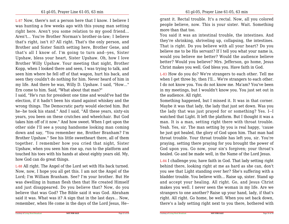L-87 Now, there's not a person here that I know. I believe I was hunting a few weeks ago with this young man setting right here. Aren't you some relation to my good friend...Aren't... You're Brother Norman's brother-in-law; I believe that's right, isn't it? All right. That's the only person, and Brother and Sister Smith setting here, Brother Gene, and that's all I know of. I'm going to turn and--yes, Sister Upshaw, bless your heart, Sister Upshaw. Oh, how I love Brother Willy Upshaw. Your meeting that night, Brother Kopp, when I looked there and seen, I was trying to talk, and seen him where he fell off of that wagon, hurt his back, and seen they couldn't do nothing for him. Never heard of him in my life. And there he was, Willy D. Upshaw. I said, "How..."Ern come to him. Said, "What about that man?"

 I said, "He's run for president one time and would've had the election, if it hadn't been his stand against whiskey and the wrong things. The Democratic party would elected him. But he--he took his stand." And I said, "All these years, sixty-six years, you been on these crutches and wheelchair. But God takes him off of it now." And how sweet. When I get upon the other side I'll see a young handsome looking man coming down and say, "You remember me, Brother Branham? I'm Brother Upshaw." See his little sweetheart there, all of them together. I remember how you cried that night, Sister Upshaw, when you seen him rise up, run to the platform and touched his toes with his hands at about eighty years old. My,how God can do great things.

L-88 All right. The Angel of the Lord set with His back turned.Now, now, I hope you all get this. I am not the Angel of the Lord; I'm William Branham. See? I'm your brother. But He was dwelling in human flesh then that He created Himself and just disappeared. Do you believe that? Now, do you believe that was God? The Bible said it was God. Abraham said it was. What was it? A sign that in the last days... Now,remember, when He come in the days of the Lord Jesus, He--

grant it. Rectal trouble. It's a rectal. Now, all you colored people believe, now. This is your sister. Wait. Somethingmore than that too.

You said it was an intestinal trouble, the intestines. And they're shrinking, shriveling up, collapsing, the intestines. That is right. Do you believe with all your heart? Do you believe me to be His servant? If I tell you what your name is, would you believe me better? Would the audience believe better? Would you believe? Mrs. Jefferson, go home, JesusChrist makes you well. God bless you. Have faith in God.

L-83 How do you do? We're strangers to each other. Tell me when I get three by, then I'll... We're strangers to each other.I do not know you. You do not know me. Ma'am? You've been in my meetings, but I wouldn't know you. You just set out inthe audience. All right.

Something happened, but I missed it. It was in that corner. Maybe it was that lady, the lady that just set down. Was you the lady that was just prayed for or something? Yes. I--I watched that Light. It left the platform. But I thought it was a man. It is a man, setting right there with throat trouble. Yeah. Yes, sir. The man setting by you is real happy, 'cause he just got healed, the glory of God upon him. That man had throat trouble. Your throat trouble has left you, sir. You're praying, setting there praying for you brought the power of God upon you. Go now, your sin's forgiven; your throat'shealed. Go and be made well, in the Name of the Lord Jesus.

L-84 I challenge you; have faith in God. That lady setting right behind there, looking right at me as hard as she can, don't you see that Light standing over her? She's suffering with a bladder trouble. You believe with... Raise up, sister. Stand up and accept your healing. All right. Go, and Jesus Christ makes you well. I never seen the woman in my life. Are we strangers to one another? Raise up your hand, lady, if that's right. All right. Go home, be well. When you set back down,there's a lady setting right next to you there, bothered with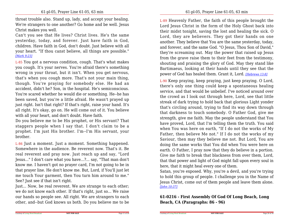throat trouble also. Stand up, lady, and accept your healing.We're strangers to one another? Go home and be well. JesusChrist makes you well.

Can't you see that He lives? Christ lives. He's the same yesterday, today, and forever. Just have faith in God, children. Have faith in God, don't doubt. Just believe with allyour heart. "If thou canst believe, all things are possible."*[Mark 9:23]*

L-85 You got a nervous condition, cough. That's what makes you cough. It's your nerves. You're afraid there's something wrong in your throat, but it isn't. When you get nervous,that's when you cough more. That's not your main thing,though. You're praying for somebody else. He had an accident, didn't he? Son, in the hospital. He's semiconscious. You're scared whether he would die or something. He--he has been saved, but you're a little afraid. He wasn't prayed up just right. Isn't that right? If that's right, raise your hand. It's all right. It's okay, go on. He will come out of it. You believewith all your heart, and don't doubt. Have faith.

Do you believe me to be His prophet, or His servant? That staggers people when I say that. I don't claim to be a prophet. I'm just His brother. I'm--I'm His servant, yourbrother.

L-86 Just a moment. Just a moment. Something happened.Somewhere in the audience. Be reverent now. That's it. Be real reverent and pray now. Just reach up and say, "Lord Jesus..." I don't care what you have...?... say, "That man don't know me. I haven't got no prayer card, I'm not going to be in that prayer line. He don't know me. But, Lord, if You'll just let me touch Your garment, then You turn him around to me."See? Just see if that isn't right.

Just... Now, be real reverent. We are strange to each other; we do not know each other. If that's right, just so... We raise our hands so people see. All right. We are strangers to eachother, and--but God knows us both. Do you believe me to be

L-89 Heavenly Father, the faith of this people brought the Lord Jesus Christ in the form of the Holy Ghost back into their midst tonight, saving the lost and healing the sick. O Lord, they are believers. They got their hands on one another. They believe that You are the same yesterday, today,and forever, and the same God. "O Jesus, Thou Son of David," they're screaming out. May the power that raised up Jesus from the grave raise them to their feet from the testimony,shouting and praising the glory of God. May they stand like Bartimaeus, looking at their hands until they see that thepower of God has healed them. Grant it, Lord. *[Hebrews 13:8]*

L-90 Keep praying, keep praying, just keep praying. O Lord,there's only one thing could keep a spontaneous healing service, and that would be unbelief. I've noticed around over the crowd as I look out through here, Lord, see that little streak of dark trying to hold back that glorious Light yonder that's circling around, trying to find its way down through that darkness to touch somebody. O Father God, give me strength, give me faith. May the people understand that You have proved, Lord, that I'm telling them the truth. You said when You was here on earth, "If I do not the works of My Father, then believe Me not." If I do not the works of my Saviour, then may they believe me not. But Lord, You are doing the same works that You did when You were here on earth. O Father, I pray now that they do believe in a portion. Give me faith to break that blackness from over them, Lord,that that power and light of God might fall upon every soul inhere, that it might heal every one of them.

Satan, you're exposed. Why, you're a devil, and you're trying to hold this group of people. I challenge you in the Name of Jesus Christ, come out of them people and leave them alone.*[John 10:37]*

**61-0216 - First Assembly Of God Of Long Beach, LongBeach, CA (Paragraphs: 86 - 96)**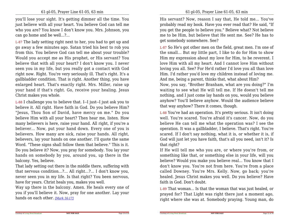you'll lose your sight. It's getting dimmer all the time. You just believe with all your heart. You believe God can tell me who you are? You know I don't know you. Mrs. Johnson, youcan go home and be well...?...

L-87 The lady setting right next to her, you had to get up and go away a few minutes ago. Satan tried his best to rob you from this. You believe God can tell me about your trouble? Would you accept me as His prophet, or His servant? You believe that with all your heart? I don't know you. I never seen you in my life, but you really got a contact with God right now. Right. You're very seriously ill. That's right. It's a gallbladder condition. That is right. Another thing, you have enlarged heart. That's exactly right. Mrs. Miller, raise up your hand if that's right. Go, receive your healing. JesusChrist makes you whole.

L-88 I challenge you to believe that. I--I just--I just ask you to believe it. All right. Have faith in God. Do you believe Him? "Jesus, Thou Son of David, have mercy on me." Do you believe Him with all your heart? Then hear me, listen. How many believers is here, raise your hand. All right, if you're a believer... Now, put your hand down. Every one of you is believers. How many are sick, raise your hands. All right, believers, lay your hands on one another. I'll quote the same Word. "These signs shall follow them that believe." This is it. Do you believe it? Now, you pray for somebody. You lay your hands on somebody by you, around you, up there in thebalcony. Yes, believe.

 That lady setting out there in the middle there, suffering with that nervous condition...?... All right...?... I don't know you, never seen you in my life. Is that right? You been nervous,have for years. Christ heals you, makes you well.

 Way up there in the balcony. Amen. He heals every one of you if you'll believe it. Now, pray for one another. Lay yourhands on each other. *[Mark 16:17]*

His servant? Now, reason I say that, He told me... You've probably read my book. Have you ever read that? He said, "If you get the people to believe you." Believe what? Not believe me to be Him, but believe that He sent me. See? He has toget somebody somewhere. See?

L-87 So He's got other men on the field, great men. I'm one of the small... But my little part, I like to do for Him to show Him my expression about my love for Him, to be reverent. I love Him with all my heart. And I cannot love Him without loving you all. See? For He'd rather I'd love you all than love Him. I'd rather you'd love my children instead of loving me.And me, being a parent, thinks that, what about Him?

 Now, you say, "Brother Branham, what are you doing?" I'm waiting to see what He will tell me. If He doesn't tell me nothing, and I just come lay hands on you, would you believe anyhow? You'll believe anyhow. Would the audience believethat way anyhow? There it comes, though.

L-88 You've had an operation. It's pretty serious. It isn't doing well. You're scared. You're afraid it's cancer. Now, do you believe He can tell me what the operation was? I see the operation. It was a gallbladder, I believe. That's right. You're scared. If I don't say nothing, what it is, or whether it is, if God will just let you have faith, that's all you need, isn't it? Isthat right?

 If He will tell me who you are, or where you're from, or something like that, or something else in your life, will you believe? Would you make you believe real... You know that I don't know you. You're not from here. You're from a place called Downey. You're Mrs. Kelly. Now, go back; you're healed. Jesus Christ makes you well. Do you believe? Havefaith in God. Don't doubt.

L-89 That woman... Is that the woman that was just healed, or prayed for? That Light was right there just a moment ago,right where she was at. Somebody praying. Young man, do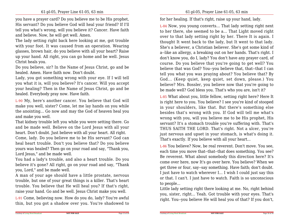you have a prayer card? Do you believe me to be His prophet,His servant? Do you believe God will heal your friend? If I'll tell you what's wrong, will you believe it? Cancer. Have faithand believe. Now, he will get well. Amen.

The lady setting right back here looking at me, got trouble with your foot. It was caused from an operation. Wearing glasses, brown hair, do you believe with all your heart? Raise up your hand. All right, you can go home and be well. JesusChrist heals you.

 Do you believe, sir? In the Name of Jesus Christ, go and behealed. Amen. Have faith now. Don't doubt.

 Lady, you got something wrong with your eye. If I will tellyou what it is, will you believe? It's cancer. Will you accept your healing? Then in the Name of Jesus Christ, go and behealed. Everybody pray now. Have faith.

L-90 My, here's another cancer. You believe that God will make you well, sister? Come, let me lay hands on you while the anointing... Go now and may the God of heaven heal youand make you well.

That kidney trouble left you while you were setting there. Go and be made well. Believe on the Lord Jesus with all yourheart. Don't doubt. Just believe with all your heart. All right. Come, lady. Do you believe me to be His servant? God can heal heart trouble. Don't you believe that? Do you believe yours was healed? Then go on your road and say, "Thank you,Lord Jesus," and be made well.

You had a lady's trouble, and also a heart trouble. Do you believe it's gone? All right, go on your road and say, "Thankyou, Lord," and be made well.

 A man of your age should have a little prostate, nervous trouble, but one of your great things is a killer. That's heart trouble. You believe that He will heal you? If that's right,raise your hand. Go and be well. Jesus Christ make you well.

L-91 Come, believing now. How do you do, lady? You're awfulthin, but you got a shadow over you. You're shadowed to for her healing. If that's right, raise up your hand, lady.

L-84 Now, you young converts... That lady setting right next to her there, she seemed to be a... That Light moved right over to that lady setting right by her. There It is again. I thought It went back to the lady, but It went to that lady.She's a believer, a Christian believer. She's got some kind of a--like an allergy, a breaking out on her hands. That's right. I don't know you, do I, lady? You don't have any prayer card, of course. Do you believe that you're going to get well? You believe that was God? You--you believe that, that--that I can tell you what you was praying about? You believe that? By God... (Keep quiet, keep quiet, set down, please.) You believe? Mrs. Bossler, you believe now that you're going tobe made well? God bless you. That's who you are, isn't it?

L-85 What about you, little fellow, setting right here? Here It is right here to you. You believe? I see you're kind of stooped in your shoulders, like that. But there's something else besides that's wrong with you. If God will tell me what's wrong with you, will you believe me to be His prophet, His servant? It's a stomach trouble you're suffering with. That's THUS SAITH THE LORD. That's right. Not a ulcer, you're just nervous and upset in your stomach, is what's doing it.That's exactly. If you believe with all your heart...

L-86 You believe? Now, be real reverent. Don't move. You see, each time you move that--that--that does something. You see? Be reverent. What about somebody this direction here? It's come over here, now It's go over here. You believe? When we get three or four, say--say something. Have faith; don't doubt.I just have to watch wherever I... I wish I could just say this or that. I can't. I just have to watch. Faith is so unconsciousto people...

 Little lady setting right there looking at me. No, right behind you, sister, right... Yeah. Got trouble with your eyes. That'sright. You--you believe He will heal you of that? If you don't,

Page 13 of 30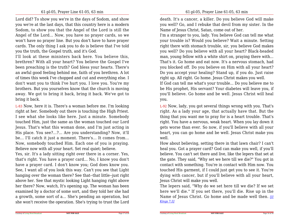Lord did? To show you we're in the days of Sodom, and show you we're at the last days, that this country here is a modern Sodom, to show you that the Angel of the Lord is still the Angel of the Lord... Now, you have no prayer cards, so we won't have no prayer line. But you don't have to have prayer cards. The only thing I ask you to do is believe that I've toldyou the truth, the Gospel truth, and it's God.

 I'll look at these ministers back here. You believe this,brethren? With all your heart? You believe the Gospel I've been preaching is the truth? God bless your hearts. There's an awful good feeling behind me, faith of you brethren. A lot of times this week I've chopped and cut and everything else. I don't want you to think I've hurt you. I love you. You're my brothers. But you yourselves know that the church is moving away. We got to bring it back, bring it back. We've got tobring it back.

L-83 Now, here it is. There's a woman before me. I'm looking right at her. Somebody out there is touching the High Priest. I see what she looks like here. Just a minute. Somebody touched Him, just the same as the woman touched our Lord Jesus. That's what this woman done, and I'm just acting in His place. You see?...?... Are you understanding? Now, it'll be... I'll catch it just a moment. There's... It comes from...Now, somebody touched Him. Each one of you is praying.Believe now with all your heart. Set real quiet; believe.

Yes, sir. It's a lady sitting right over there in a corner. Yes,that's right. You have a prayer card... No, I know you don't have a prayer card. I don't know you; God does know you.See, I want all of you look this way. Can't you see that Light hanging over the woman there? See that--that little--just right above her. See that mystic looking Light hanging right above her there? Now, watch, It's opening up. The woman has been examined by a doctor of some sort, and they told her she had a growth, some sort of a... She's pending an operation, butshe won't receive the operation. She's trying to trust the Lord

death. It's a cancer, a killer. Do you believe God will make you well? Go, and I rebuke that devil from my sister. In theName of Jesus Christ, Satan, come out of her.

I'm a stranger to you, lady. You believe God can tell me what your trouble is? Would you believe? Wait a minute. Setting right there with stomach trouble, sir, you believe God makes you well? Do you believe with all your heart? Black-headed man, young fellow with a white shirt on, praying there with...That's it. Go home and eat now. It's a nervous stomach, had you blocked off. Do you believe on Him with all your heart? Do you accept your healing? Stand up, if you do. Just raiseright up. All right. Go home. Jesus Christ makes you well.

If God can tell me what's your trouble... Do you believe me to be His prophet, His servant? Your diabetes will leave you, if you'll believe. Go home and be well. Jesus Christ will healyou.

L-92 Now, lady, you got several things wrong with you. That's right. As a lady your age, that actually have that. But the thing that you want me to pray for is a heart trouble. That's right. You have a nervous, weak heart. When you lay down it gets worse than ever. So now, if you'll believe with all your heart, you can go home and be well. Jesus Christ make youwell.

How about believing, setting there in that lawn chair? I can't heal you. Got a prayer card? God can make you well, if you'llbelieve. You can't set there and live, like the lepers that set at the gate. They said, "Why set we here till we die?" You got in contact with something. You're in contact with Him now. You touched His garment, if I could just get you to see it. You're dying with cancer, but if you'll believe with all your heart,Jesus Christ will make you well.

 The lepers said, "Why do we set here till we die? If we set here we'll die." If you set there, you'll die. Rise up in the Name of Jesus Christ. Go home and be made well then. *[IIKings 7:3]*